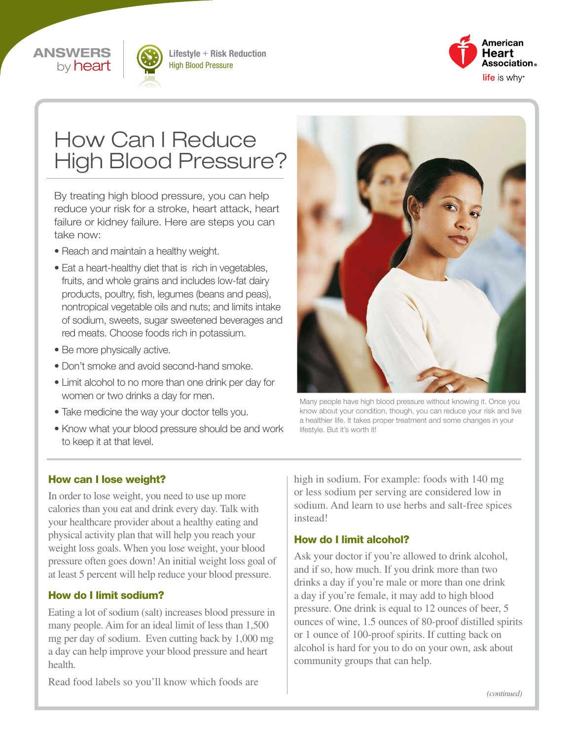



Lifestyle + Risk Reduction High Blood Pressure



# How Can I Reduce High Blood Pressure?

By treating high blood pressure, you can help reduce your risk for a stroke, heart attack, heart failure or kidney failure. Here are steps you can take now:

- Reach and maintain a healthy weight.
- Eat a heart-healthy diet that is rich in vegetables, fruits, and whole grains and includes low-fat dairy products, poultry, fish, legumes (beans and peas), nontropical vegetable oils and nuts; and limits intake of sodium, sweets, sugar sweetened beverages and red meats. Choose foods rich in potassium.
- Be more physically active.
- Don't smoke and avoid second-hand smoke.
- Limit alcohol to no more than one drink per day for women or two drinks a day for men.
- Take medicine the way your doctor tells you.
- Know what your blood pressure should be and work to keep it at that level.



Many people have high blood pressure without knowing it. Once you know about your condition, though, you can reduce your risk and live a healthier life. It takes proper treatment and some changes in your lifestyle. But it's worth it!

#### How can I lose weight?

In order to lose weight, you need to use up more calories than you eat and drink every day. Talk with your healthcare provider about a healthy eating and physical activity plan that will help you reach your weight loss goals. When you lose weight, your blood pressure often goes down! An initial weight loss goal of at least 5 percent will help reduce your blood pressure.

#### How do I limit sodium?

Eating a lot of sodium (salt) increases blood pressure in many people. Aim for an ideal limit of less than 1,500 mg per day of sodium. Even cutting back by 1,000 mg a day can help improve your blood pressure and heart health.

Read food labels so you'll know which foods are

high in sodium. For example: foods with 140 mg or less sodium per serving are considered low in sodium. And learn to use herbs and salt-free spices instead!

#### How do I limit alcohol?

Ask your doctor if you're allowed to drink alcohol, and if so, how much. If you drink more than two drinks a day if you're male or more than one drink a day if you're female, it may add to high blood pressure. One drink is equal to 12 ounces of beer, 5 ounces of wine, 1.5 ounces of 80-proof distilled spirits or 1 ounce of 100-proof spirits. If cutting back on alcohol is hard for you to do on your own, ask about community groups that can help.